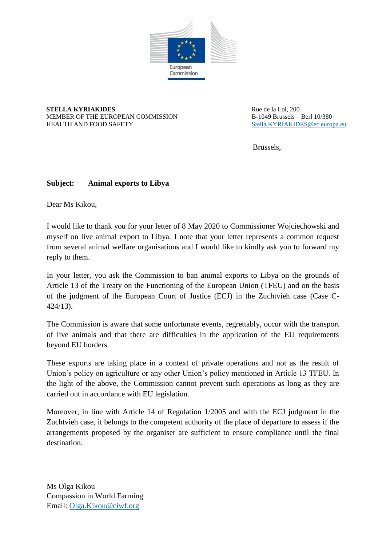

**STELLA KYRIAKIDES** MEMBER OF THE EUROPEAN COMMISSION HEALTH AND FOOD SAFETY

Rue de la Loi, 200 B-1049 Brussels – Berl 10/380 [Stella.KYRIAKIDES@ec.europa.eu](mailto:Stella.KYRIAKIDES@ec.europa.eu)

Brussels,

## **Subject: Animal exports to Libya**

Dear Ms Kikou,

I would like to thank you for your letter of 8 May 2020 to Commissioner Wojciechowski and myself on live animal export to Libya. I note that your letter represents a common request from several animal welfare organisations and I would like to kindly ask you to forward my reply to them.

In your letter, you ask the Commission to ban animal exports to Libya on the grounds of Article 13 of the Treaty on the Functioning of the European Union (TFEU) and on the basis of the judgment of the European Court of Justice (ECJ) in the Zuchtvieh case (Case C-424/13).

The Commission is aware that some unfortunate events, regrettably, occur with the transport of live animals and that there are difficulties in the application of the EU requirements beyond EU borders.

These exports are taking place in a context of private operations and not as the result of Union's policy on agriculture or any other Union's policy mentioned in Article 13 TFEU. In the light of the above, the Commission cannot prevent such operations as long as they are carried out in accordance with EU legislation.

Moreover, in line with Article 14 of Regulation 1/2005 and with the ECJ judgment in the Zuchtvieh case, it belongs to the competent authority of the place of departure to assess if the arrangements proposed by the organiser are sufficient to ensure compliance until the final destination.

Ms Olga Kikou Compassion in World Farming Email: [Olga.Kikou@ciwf.org](mailto:Olga.Kikou@ciwf.org)